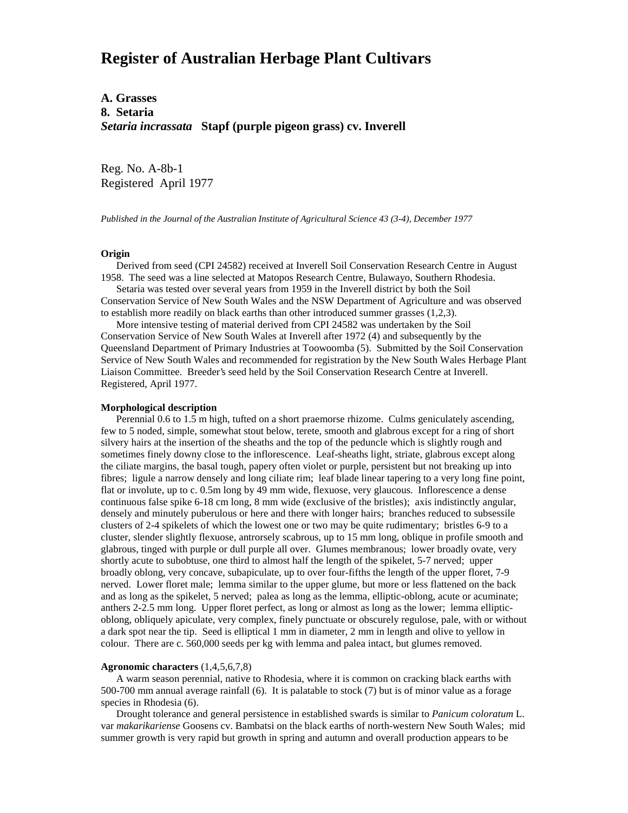# **Register of Australian Herbage Plant Cultivars**

**A. Grasses 8. Setaria** *Setaria incrassata* **Stapf (purple pigeon grass) cv. Inverell**

Reg. No. A-8b-1 Registered April 1977

*Published in the Journal of the Australian Institute of Agricultural Science 43 (3-4), December 1977*

## **Origin**

 Derived from seed (CPI 24582) received at Inverell Soil Conservation Research Centre in August 1958. The seed was a line selected at Matopos Research Centre, Bulawayo, Southern Rhodesia.

 Setaria was tested over several years from 1959 in the Inverell district by both the Soil Conservation Service of New South Wales and the NSW Department of Agriculture and was observed to establish more readily on black earths than other introduced summer grasses (1,2,3).

 More intensive testing of material derived from CPI 24582 was undertaken by the Soil Conservation Service of New South Wales at Inverell after 1972 (4) and subsequently by the Queensland Department of Primary Industries at Toowoomba (5). Submitted by the Soil Conservation Service of New South Wales and recommended for registration by the New South Wales Herbage Plant Liaison Committee. Breeder's seed held by the Soil Conservation Research Centre at Inverell. Registered, April 1977.

### **Morphological description**

 Perennial 0.6 to 1.5 m high, tufted on a short praemorse rhizome. Culms geniculately ascending, few to 5 noded, simple, somewhat stout below, terete, smooth and glabrous except for a ring of short silvery hairs at the insertion of the sheaths and the top of the peduncle which is slightly rough and sometimes finely downy close to the inflorescence. Leaf-sheaths light, striate, glabrous except along the ciliate margins, the basal tough, papery often violet or purple, persistent but not breaking up into fibres; ligule a narrow densely and long ciliate rim; leaf blade linear tapering to a very long fine point, flat or involute, up to c. 0.5m long by 49 mm wide, flexuose, very glaucous. Inflorescence a dense continuous false spike 6-18 cm long, 8 mm wide (exclusive of the bristles); axis indistinctly angular, densely and minutely puberulous or here and there with longer hairs; branches reduced to subsessile clusters of 2-4 spikelets of which the lowest one or two may be quite rudimentary; bristles 6-9 to a cluster, slender slightly flexuose, antrorsely scabrous, up to 15 mm long, oblique in profile smooth and glabrous, tinged with purple or dull purple all over. Glumes membranous; lower broadly ovate, very shortly acute to subobtuse, one third to almost half the length of the spikelet, 5-7 nerved; upper broadly oblong, very concave, subapiculate, up to over four-fifths the length of the upper floret, 7-9 nerved. Lower floret male; lemma similar to the upper glume, but more or less flattened on the back and as long as the spikelet, 5 nerved; palea as long as the lemma, elliptic-oblong, acute or acuminate; anthers 2-2.5 mm long. Upper floret perfect, as long or almost as long as the lower; lemma ellipticoblong, obliquely apiculate, very complex, finely punctuate or obscurely regulose, pale, with or without a dark spot near the tip. Seed is elliptical 1 mm in diameter, 2 mm in length and olive to yellow in colour. There are c. 560,000 seeds per kg with lemma and palea intact, but glumes removed.

## **Agronomic characters** (1,4,5,6,7,8)

 A warm season perennial, native to Rhodesia, where it is common on cracking black earths with 500-700 mm annual average rainfall (6). It is palatable to stock (7) but is of minor value as a forage species in Rhodesia (6).

 Drought tolerance and general persistence in established swards is similar to *Panicum coloratum* L. var *makarikariense* Goosens cv. Bambatsi on the black earths of north-western New South Wales; mid summer growth is very rapid but growth in spring and autumn and overall production appears to be